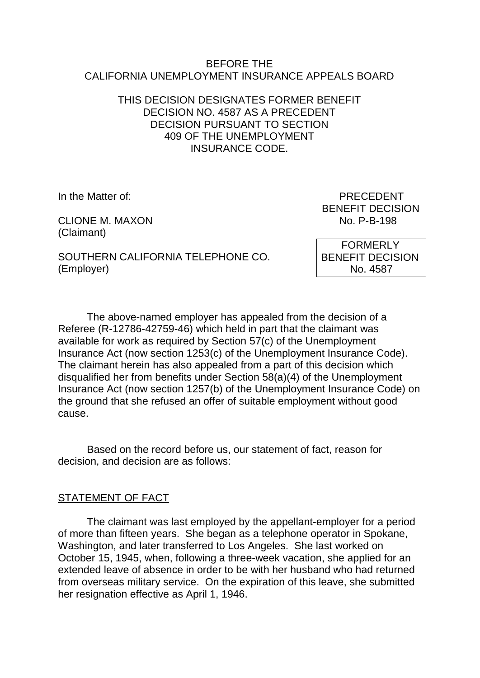#### BEFORE THE CALIFORNIA UNEMPLOYMENT INSURANCE APPEALS BOARD

## THIS DECISION DESIGNATES FORMER BENEFIT DECISION NO. 4587 AS A PRECEDENT DECISION PURSUANT TO SECTION 409 OF THE UNEMPLOYMENT INSURANCE CODE.

CLIONE M. MAXON (Claimant)

In the Matter of: PRECEDENT BENEFIT DECISION<br>No. P-B-198

SOUTHERN CALIFORNIA TELEPHONE CO. (Employer)

 FORMERLY BENEFIT DECISION No. 4587

The above-named employer has appealed from the decision of a Referee (R-12786-42759-46) which held in part that the claimant was available for work as required by Section 57(c) of the Unemployment Insurance Act (now section 1253(c) of the Unemployment Insurance Code). The claimant herein has also appealed from a part of this decision which disqualified her from benefits under Section 58(a)(4) of the Unemployment Insurance Act (now section 1257(b) of the Unemployment Insurance Code) on the ground that she refused an offer of suitable employment without good cause.

Based on the record before us, our statement of fact, reason for decision, and decision are as follows:

# STATEMENT OF FACT

The claimant was last employed by the appellant-employer for a period of more than fifteen years. She began as a telephone operator in Spokane, Washington, and later transferred to Los Angeles. She last worked on October 15, 1945, when, following a three-week vacation, she applied for an extended leave of absence in order to be with her husband who had returned from overseas military service. On the expiration of this leave, she submitted her resignation effective as April 1, 1946.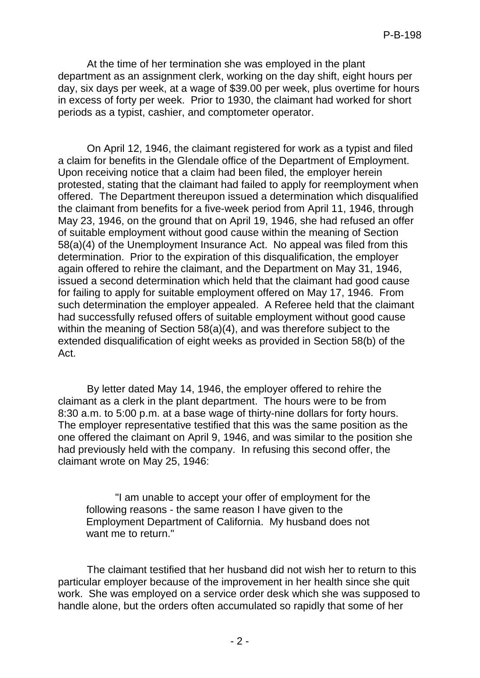At the time of her termination she was employed in the plant department as an assignment clerk, working on the day shift, eight hours per day, six days per week, at a wage of \$39.00 per week, plus overtime for hours in excess of forty per week. Prior to 1930, the claimant had worked for short periods as a typist, cashier, and comptometer operator.

On April 12, 1946, the claimant registered for work as a typist and filed a claim for benefits in the Glendale office of the Department of Employment. Upon receiving notice that a claim had been filed, the employer herein protested, stating that the claimant had failed to apply for reemployment when offered. The Department thereupon issued a determination which disqualified the claimant from benefits for a five-week period from April 11, 1946, through May 23, 1946, on the ground that on April 19, 1946, she had refused an offer of suitable employment without good cause within the meaning of Section 58(a)(4) of the Unemployment Insurance Act. No appeal was filed from this determination. Prior to the expiration of this disqualification, the employer again offered to rehire the claimant, and the Department on May 31, 1946, issued a second determination which held that the claimant had good cause for failing to apply for suitable employment offered on May 17, 1946. From such determination the employer appealed. A Referee held that the claimant had successfully refused offers of suitable employment without good cause within the meaning of Section 58(a)(4), and was therefore subject to the extended disqualification of eight weeks as provided in Section 58(b) of the Act.

By letter dated May 14, 1946, the employer offered to rehire the claimant as a clerk in the plant department. The hours were to be from 8:30 a.m. to 5:00 p.m. at a base wage of thirty-nine dollars for forty hours. The employer representative testified that this was the same position as the one offered the claimant on April 9, 1946, and was similar to the position she had previously held with the company. In refusing this second offer, the claimant wrote on May 25, 1946:

"I am unable to accept your offer of employment for the following reasons - the same reason I have given to the Employment Department of California. My husband does not want me to return."

The claimant testified that her husband did not wish her to return to this particular employer because of the improvement in her health since she quit work. She was employed on a service order desk which she was supposed to handle alone, but the orders often accumulated so rapidly that some of her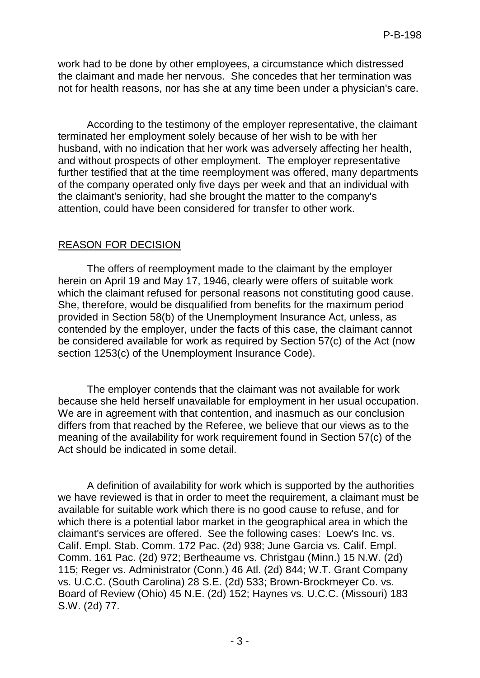work had to be done by other employees, a circumstance which distressed the claimant and made her nervous. She concedes that her termination was not for health reasons, nor has she at any time been under a physician's care.

According to the testimony of the employer representative, the claimant terminated her employment solely because of her wish to be with her husband, with no indication that her work was adversely affecting her health, and without prospects of other employment. The employer representative further testified that at the time reemployment was offered, many departments of the company operated only five days per week and that an individual with the claimant's seniority, had she brought the matter to the company's attention, could have been considered for transfer to other work.

## REASON FOR DECISION

The offers of reemployment made to the claimant by the employer herein on April 19 and May 17, 1946, clearly were offers of suitable work which the claimant refused for personal reasons not constituting good cause. She, therefore, would be disqualified from benefits for the maximum period provided in Section 58(b) of the Unemployment Insurance Act, unless, as contended by the employer, under the facts of this case, the claimant cannot be considered available for work as required by Section 57(c) of the Act (now section 1253(c) of the Unemployment Insurance Code).

The employer contends that the claimant was not available for work because she held herself unavailable for employment in her usual occupation. We are in agreement with that contention, and inasmuch as our conclusion differs from that reached by the Referee, we believe that our views as to the meaning of the availability for work requirement found in Section 57(c) of the Act should be indicated in some detail.

A definition of availability for work which is supported by the authorities we have reviewed is that in order to meet the requirement, a claimant must be available for suitable work which there is no good cause to refuse, and for which there is a potential labor market in the geographical area in which the claimant's services are offered. See the following cases: Loew's Inc. vs. Calif. Empl. Stab. Comm. 172 Pac. (2d) 938; June Garcia vs. Calif. Empl. Comm. 161 Pac. (2d) 972; Bertheaume vs. Christgau (Minn.) 15 N.W. (2d) 115; Reger vs. Administrator (Conn.) 46 Atl. (2d) 844; W.T. Grant Company vs. U.C.C. (South Carolina) 28 S.E. (2d) 533; Brown-Brockmeyer Co. vs. Board of Review (Ohio) 45 N.E. (2d) 152; Haynes vs. U.C.C. (Missouri) 183 S.W. (2d) 77.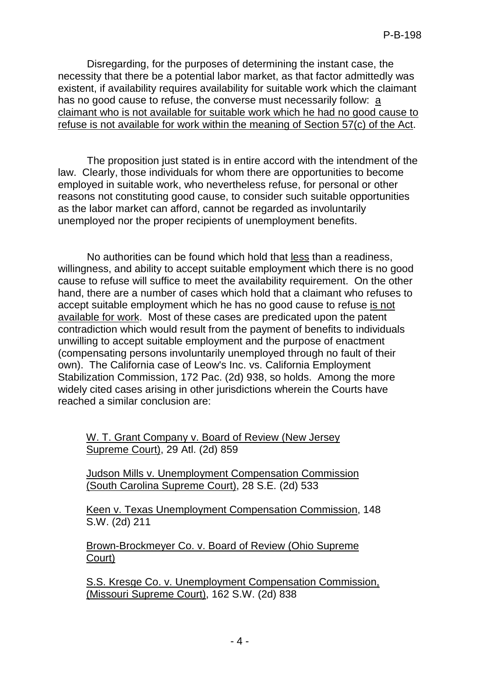Disregarding, for the purposes of determining the instant case, the necessity that there be a potential labor market, as that factor admittedly was existent, if availability requires availability for suitable work which the claimant has no good cause to refuse, the converse must necessarily follow: a claimant who is not available for suitable work which he had no good cause to refuse is not available for work within the meaning of Section 57(c) of the Act.

The proposition just stated is in entire accord with the intendment of the law. Clearly, those individuals for whom there are opportunities to become employed in suitable work, who nevertheless refuse, for personal or other reasons not constituting good cause, to consider such suitable opportunities as the labor market can afford, cannot be regarded as involuntarily unemployed nor the proper recipients of unemployment benefits.

No authorities can be found which hold that less than a readiness, willingness, and ability to accept suitable employment which there is no good cause to refuse will suffice to meet the availability requirement. On the other hand, there are a number of cases which hold that a claimant who refuses to accept suitable employment which he has no good cause to refuse is not available for work. Most of these cases are predicated upon the patent contradiction which would result from the payment of benefits to individuals unwilling to accept suitable employment and the purpose of enactment (compensating persons involuntarily unemployed through no fault of their own). The California case of Leow's Inc. vs. California Employment Stabilization Commission, 172 Pac. (2d) 938, so holds. Among the more widely cited cases arising in other jurisdictions wherein the Courts have reached a similar conclusion are:

W. T. Grant Company v. Board of Review (New Jersey Supreme Court), 29 Atl. (2d) 859

Judson Mills v. Unemployment Compensation Commission (South Carolina Supreme Court), 28 S.E. (2d) 533

Keen v. Texas Unemployment Compensation Commission, 148 S.W. (2d) 211

Brown-Brockmeyer Co. v. Board of Review (Ohio Supreme Court)

S.S. Kresge Co. v. Unemployment Compensation Commission, (Missouri Supreme Court), 162 S.W. (2d) 838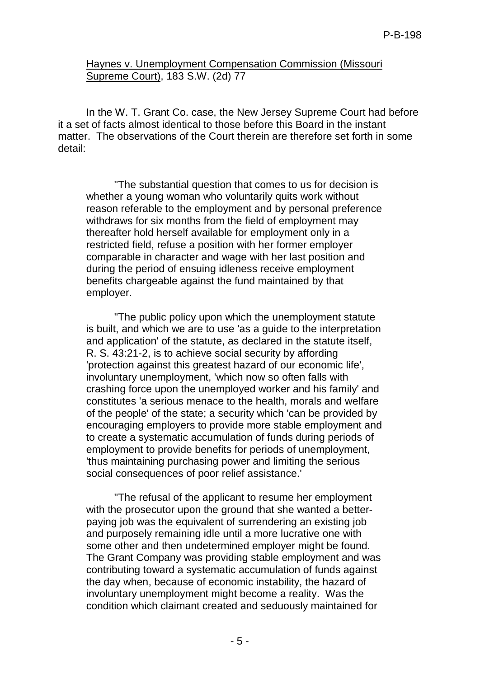### Haynes v. Unemployment Compensation Commission (Missouri Supreme Court), 183 S.W. (2d) 77

In the W. T. Grant Co. case, the New Jersey Supreme Court had before it a set of facts almost identical to those before this Board in the instant matter. The observations of the Court therein are therefore set forth in some detail:

"The substantial question that comes to us for decision is whether a young woman who voluntarily quits work without reason referable to the employment and by personal preference withdraws for six months from the field of employment may thereafter hold herself available for employment only in a restricted field, refuse a position with her former employer comparable in character and wage with her last position and during the period of ensuing idleness receive employment benefits chargeable against the fund maintained by that employer.

"The public policy upon which the unemployment statute is built, and which we are to use 'as a guide to the interpretation and application' of the statute, as declared in the statute itself, R. S. 43:21-2, is to achieve social security by affording 'protection against this greatest hazard of our economic life', involuntary unemployment, 'which now so often falls with crashing force upon the unemployed worker and his family' and constitutes 'a serious menace to the health, morals and welfare of the people' of the state; a security which 'can be provided by encouraging employers to provide more stable employment and to create a systematic accumulation of funds during periods of employment to provide benefits for periods of unemployment, 'thus maintaining purchasing power and limiting the serious social consequences of poor relief assistance.'

"The refusal of the applicant to resume her employment with the prosecutor upon the ground that she wanted a betterpaying job was the equivalent of surrendering an existing job and purposely remaining idle until a more lucrative one with some other and then undetermined employer might be found. The Grant Company was providing stable employment and was contributing toward a systematic accumulation of funds against the day when, because of economic instability, the hazard of involuntary unemployment might become a reality. Was the condition which claimant created and seduously maintained for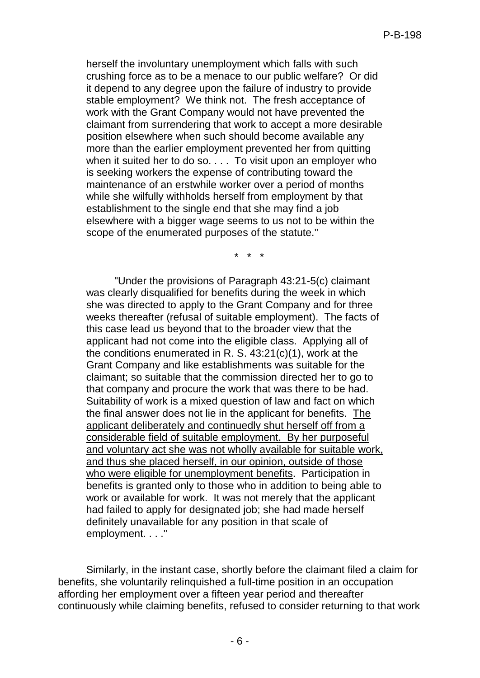herself the involuntary unemployment which falls with such crushing force as to be a menace to our public welfare? Or did it depend to any degree upon the failure of industry to provide stable employment? We think not. The fresh acceptance of work with the Grant Company would not have prevented the claimant from surrendering that work to accept a more desirable position elsewhere when such should become available any more than the earlier employment prevented her from quitting when it suited her to do so. . . . To visit upon an employer who is seeking workers the expense of contributing toward the maintenance of an erstwhile worker over a period of months while she wilfully withholds herself from employment by that establishment to the single end that she may find a job elsewhere with a bigger wage seems to us not to be within the scope of the enumerated purposes of the statute."

\* \* \*

"Under the provisions of Paragraph 43:21-5(c) claimant was clearly disqualified for benefits during the week in which she was directed to apply to the Grant Company and for three weeks thereafter (refusal of suitable employment). The facts of this case lead us beyond that to the broader view that the applicant had not come into the eligible class. Applying all of the conditions enumerated in R. S. 43:21(c)(1), work at the Grant Company and like establishments was suitable for the claimant; so suitable that the commission directed her to go to that company and procure the work that was there to be had. Suitability of work is a mixed question of law and fact on which the final answer does not lie in the applicant for benefits. The applicant deliberately and continuedly shut herself off from a considerable field of suitable employment. By her purposeful and voluntary act she was not wholly available for suitable work, and thus she placed herself, in our opinion, outside of those who were eligible for unemployment benefits. Participation in benefits is granted only to those who in addition to being able to work or available for work. It was not merely that the applicant had failed to apply for designated job; she had made herself definitely unavailable for any position in that scale of employment. . . ."

Similarly, in the instant case, shortly before the claimant filed a claim for benefits, she voluntarily relinquished a full-time position in an occupation affording her employment over a fifteen year period and thereafter continuously while claiming benefits, refused to consider returning to that work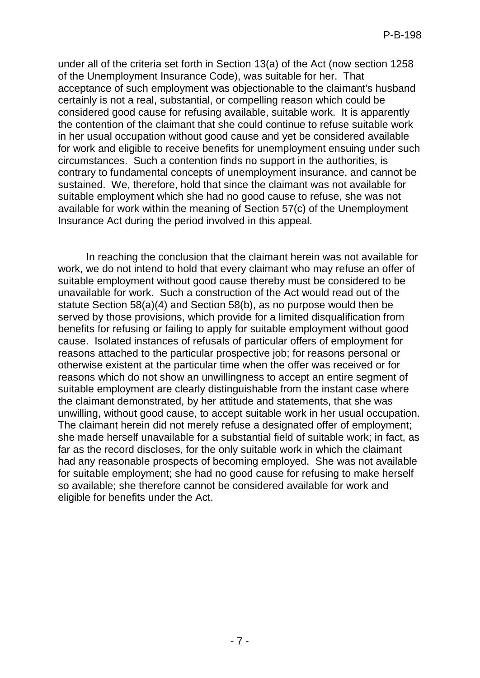under all of the criteria set forth in Section 13(a) of the Act (now section 1258 of the Unemployment Insurance Code), was suitable for her. That acceptance of such employment was objectionable to the claimant's husband certainly is not a real, substantial, or compelling reason which could be considered good cause for refusing available, suitable work. It is apparently the contention of the claimant that she could continue to refuse suitable work in her usual occupation without good cause and yet be considered available for work and eligible to receive benefits for unemployment ensuing under such circumstances. Such a contention finds no support in the authorities, is contrary to fundamental concepts of unemployment insurance, and cannot be sustained. We, therefore, hold that since the claimant was not available for suitable employment which she had no good cause to refuse, she was not available for work within the meaning of Section 57(c) of the Unemployment Insurance Act during the period involved in this appeal.

In reaching the conclusion that the claimant herein was not available for work, we do not intend to hold that every claimant who may refuse an offer of suitable employment without good cause thereby must be considered to be unavailable for work. Such a construction of the Act would read out of the statute Section 58(a)(4) and Section 58(b), as no purpose would then be served by those provisions, which provide for a limited disqualification from benefits for refusing or failing to apply for suitable employment without good cause. Isolated instances of refusals of particular offers of employment for reasons attached to the particular prospective job; for reasons personal or otherwise existent at the particular time when the offer was received or for reasons which do not show an unwillingness to accept an entire segment of suitable employment are clearly distinguishable from the instant case where the claimant demonstrated, by her attitude and statements, that she was unwilling, without good cause, to accept suitable work in her usual occupation. The claimant herein did not merely refuse a designated offer of employment; she made herself unavailable for a substantial field of suitable work; in fact, as far as the record discloses, for the only suitable work in which the claimant had any reasonable prospects of becoming employed. She was not available for suitable employment; she had no good cause for refusing to make herself so available; she therefore cannot be considered available for work and eligible for benefits under the Act.